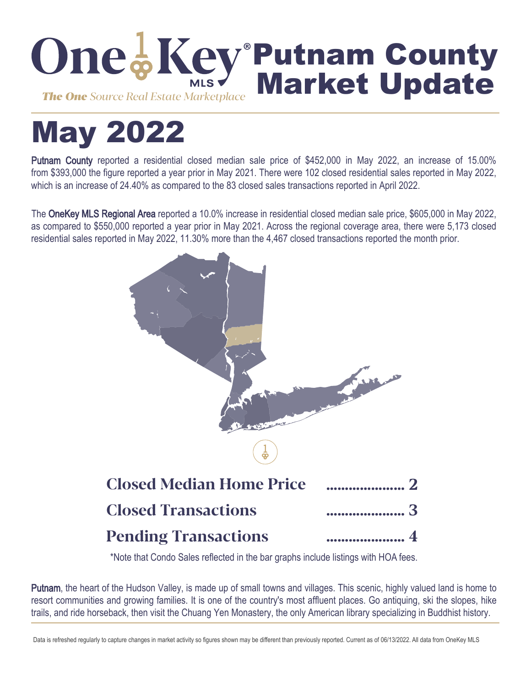

# May 2022

Putnam County reported a residential closed median sale price of \$452,000 in May 2022, an increase of 15.00% from \$393,000 the figure reported a year prior in May 2021. There were 102 closed residential sales reported in May 2022, which is an increase of 24.40% as compared to the 83 closed sales transactions reported in April 2022.

The OneKey MLS Regional Area reported a 10.0% increase in residential closed median sale price, \$605,000 in May 2022, as compared to \$550,000 reported a year prior in May 2021. Across the regional coverage area, there were 5,173 closed residential sales reported in May 2022, 11.30% more than the 4,467 closed transactions reported the month prior.



\*Note that Condo Sales reflected in the bar graphs include listings with HOA fees.

Putnam, the heart of the Hudson Valley, is made up of small towns and villages. This scenic, highly valued land is home to resort communities and growing families. It is one of the country's most affluent places. Go antiquing, ski the slopes, hike trails, and ride horseback, then visit the Chuang Yen Monastery, the only American library specializing in Buddhist history.

Data is refreshed regularly to capture changes in market activity so figures shown may be different than previously reported. Current as of 06/13/2022. All data from OneKey MLS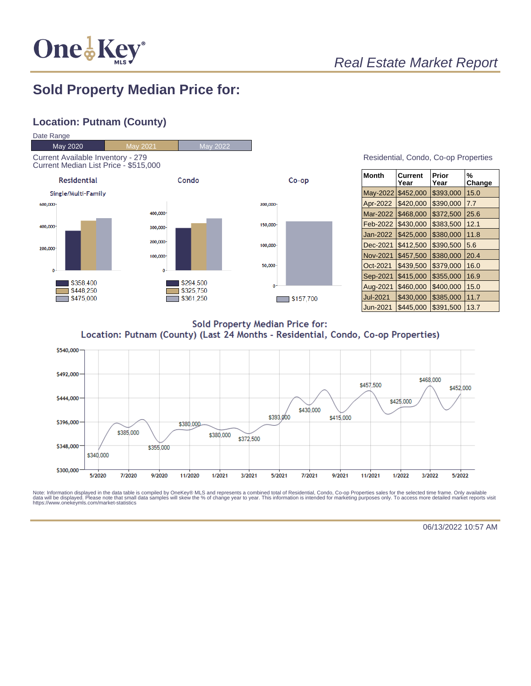

# Real Estate Market Report

## **Sold Property Median Price for:**

#### **Location: Putnam (County)**



| Month           | Current<br>Year | Prior<br>Year | %<br>Change |
|-----------------|-----------------|---------------|-------------|
| May-2022        | \$452,000       | \$393,000     | 15.0        |
| Apr-2022        | \$420,000       | \$390,000     | 7.7         |
| Mar-2022        | \$468,000       | \$372,500     | 25.6        |
| Feb-2022        | \$430,000       | \$383,500     | 12.1        |
| Jan-2022        | \$425,000       | \$380,000     | 11.8        |
| Dec-2021        | \$412,500       | \$390,500     | 5.6         |
| <b>Nov-2021</b> | \$457,500       | \$380,000     | 20.4        |
| Oct-2021        | \$439,500       | \$379,000     | 16.0        |
| Sep-2021        | \$415,000       | \$355,000     | 16.9        |
| Aug-2021        | \$460,000       | \$400,000     | 15.0        |
| Jul-2021        | \$430,000       | \$385,000     | 11.7        |
| Jun-2021        | \$445.000       | \$391,500     | 13.7        |

**Sold Property Median Price for:** Location: Putnam (County) (Last 24 Months - Residential, Condo, Co-op Properties)



Note: Information displayed in the data table is compiled by OneKey® MLS and represents a combined total of Residential, Condo, Co-op Properties sales for the selected time frame. Only available<br>data will be displayed. Pl

06/13/2022 10:57 AM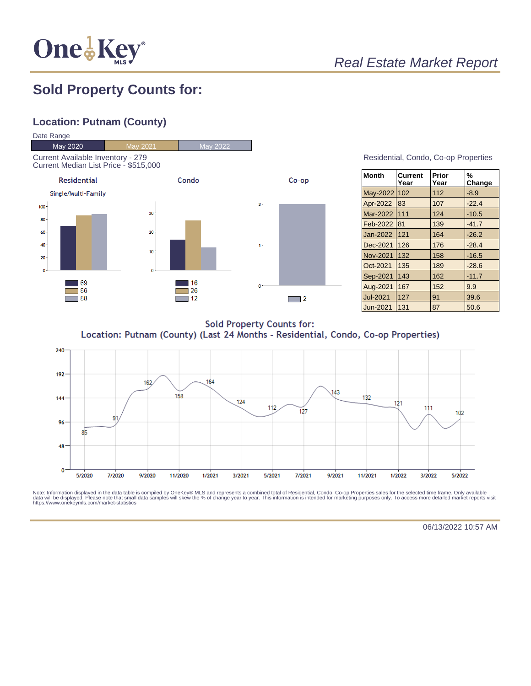

# Real Estate Market Report

## **Sold Property Counts for:**

### **Location: Putnam (County)**



| Residential, Condo, Co-op Properties |  |  |
|--------------------------------------|--|--|
|                                      |  |  |

| ∣Month          | <b>Current</b><br>Year | Prior<br>Year | %<br>Change |
|-----------------|------------------------|---------------|-------------|
| May-2022        | 102                    | 112           | $-8.9$      |
| Apr-2022        | 83                     | 107           | $-22.4$     |
| <b>Mar-2022</b> | 111                    | 124           | $-10.5$     |
| <b>Feb-2022</b> | 81                     | 139           | $-41.7$     |
| Jan-2022        | 121                    | 164           | $-26.2$     |
| Dec-2021        | 126                    | 176           | $-28.4$     |
| Nov-2021        | 132                    | 158           | $-16.5$     |
| Oct-2021        | 135                    | 189           | $-28.6$     |
| Sep-2021        | 143                    | 162           | $-11.7$     |
| Aug-2021        | 167                    | 152           | 9.9         |
| <b>Jul-2021</b> | 127                    | 91            | 39.6        |
| Jun-2021        | 131                    | 87            | 50.6        |

**Sold Property Counts for:** Location: Putnam (County) (Last 24 Months - Residential, Condo, Co-op Properties)



Note: Information displayed in the data table is compiled by OneKey® MLS and represents a combined total of Residential, Condo, Co-op Properties sales for the selected time frame. Only available<br>data will be displayed. Pl

06/13/2022 10:57 AM